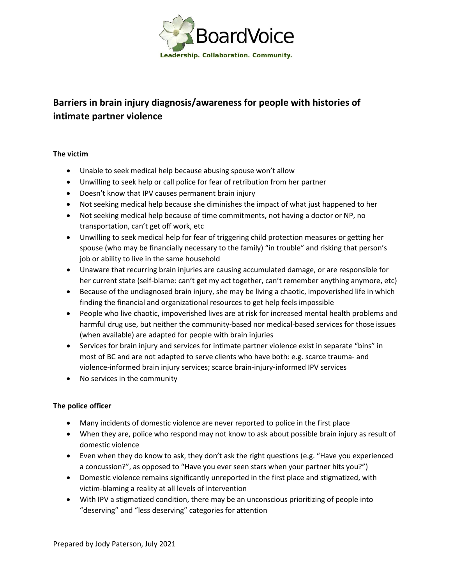

# **Barriers in brain injury diagnosis/awareness for people with histories of intimate partner violence**

## **The victim**

- Unable to seek medical help because abusing spouse won't allow
- Unwilling to seek help or call police for fear of retribution from her partner
- Doesn't know that IPV causes permanent brain injury
- Not seeking medical help because she diminishes the impact of what just happened to her
- Not seeking medical help because of time commitments, not having a doctor or NP, no transportation, can't get off work, etc
- Unwilling to seek medical help for fear of triggering child protection measures or getting her spouse (who may be financially necessary to the family) "in trouble" and risking that person's job or ability to live in the same household
- Unaware that recurring brain injuries are causing accumulated damage, or are responsible for her current state (self-blame: can't get my act together, can't remember anything anymore, etc)
- Because of the undiagnosed brain injury, she may be living a chaotic, impoverished life in which finding the financial and organizational resources to get help feels impossible
- People who live chaotic, impoverished lives are at risk for increased mental health problems and harmful drug use, but neither the community-based nor medical-based services for those issues (when available) are adapted for people with brain injuries
- Services for brain injury and services for intimate partner violence exist in separate "bins" in most of BC and are not adapted to serve clients who have both: e.g. scarce trauma- and violence-informed brain injury services; scarce brain-injury-informed IPV services
- No services in the community

## **The police officer**

- Many incidents of domestic violence are never reported to police in the first place
- When they are, police who respond may not know to ask about possible brain injury as result of domestic violence
- Even when they do know to ask, they don't ask the right questions (e.g. "Have you experienced a concussion?", as opposed to "Have you ever seen stars when your partner hits you?")
- Domestic violence remains significantly unreported in the first place and stigmatized, with victim-blaming a reality at all levels of intervention
- With IPV a stigmatized condition, there may be an unconscious prioritizing of people into "deserving" and "less deserving" categories for attention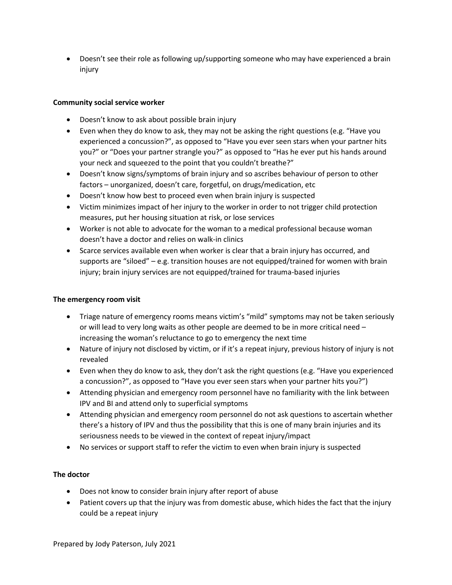Doesn't see their role as following up/supporting someone who may have experienced a brain injury

## **Community social service worker**

- Doesn't know to ask about possible brain injury
- Even when they do know to ask, they may not be asking the right questions (e.g. "Have you experienced a concussion?", as opposed to "Have you ever seen stars when your partner hits you?" or "Does your partner strangle you?" as opposed to "Has he ever put his hands around your neck and squeezed to the point that you couldn't breathe?"
- Doesn't know signs/symptoms of brain injury and so ascribes behaviour of person to other factors – unorganized, doesn't care, forgetful, on drugs/medication, etc
- Doesn't know how best to proceed even when brain injury is suspected
- Victim minimizes impact of her injury to the worker in order to not trigger child protection measures, put her housing situation at risk, or lose services
- Worker is not able to advocate for the woman to a medical professional because woman doesn't have a doctor and relies on walk-in clinics
- Scarce services available even when worker is clear that a brain injury has occurred, and supports are "siloed" – e.g. transition houses are not equipped/trained for women with brain injury; brain injury services are not equipped/trained for trauma-based injuries

## **The emergency room visit**

- Triage nature of emergency rooms means victim's "mild" symptoms may not be taken seriously or will lead to very long waits as other people are deemed to be in more critical need – increasing the woman's reluctance to go to emergency the next time
- Nature of injury not disclosed by victim, or if it's a repeat injury, previous history of injury is not revealed
- Even when they do know to ask, they don't ask the right questions (e.g. "Have you experienced a concussion?", as opposed to "Have you ever seen stars when your partner hits you?")
- Attending physician and emergency room personnel have no familiarity with the link between IPV and BI and attend only to superficial symptoms
- Attending physician and emergency room personnel do not ask questions to ascertain whether there's a history of IPV and thus the possibility that this is one of many brain injuries and its seriousness needs to be viewed in the context of repeat injury/impact
- No services or support staff to refer the victim to even when brain injury is suspected

## **The doctor**

- Does not know to consider brain injury after report of abuse
- Patient covers up that the injury was from domestic abuse, which hides the fact that the injury could be a repeat injury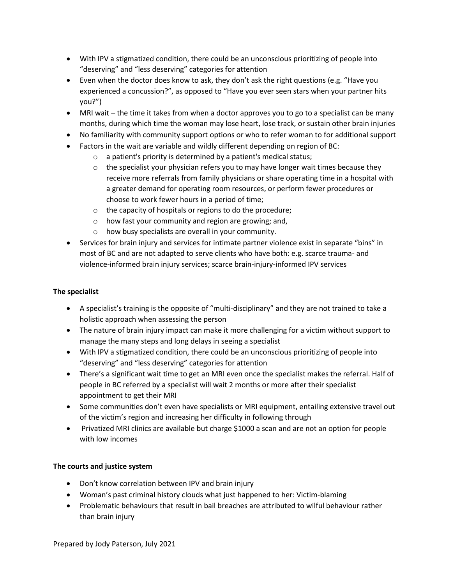- With IPV a stigmatized condition, there could be an unconscious prioritizing of people into "deserving" and "less deserving" categories for attention
- Even when the doctor does know to ask, they don't ask the right questions (e.g. "Have you experienced a concussion?", as opposed to "Have you ever seen stars when your partner hits you?")
- MRI wait the time it takes from when a doctor approves you to go to a specialist can be many months, during which time the woman may lose heart, lose track, or sustain other brain injuries
- No familiarity with community support options or who to refer woman to for additional support
- Factors in the wait are variable and wildly different depending on region of BC:
	- $\circ$  a patient's priority is determined by a patient's medical status;
	- $\circ$  the specialist your physician refers you to may have longer wait times because they receive more referrals from family physicians or share operating time in a hospital with a greater demand for operating room resources, or perform fewer procedures or choose to work fewer hours in a period of time;
	- o the capacity of hospitals or regions to do the procedure;
	- o how fast your community and region are growing; and,
	- o how busy specialists are overall in your community.
- Services for brain injury and services for intimate partner violence exist in separate "bins" in most of BC and are not adapted to serve clients who have both: e.g. scarce trauma- and violence-informed brain injury services; scarce brain-injury-informed IPV services

# **The specialist**

- A specialist's training is the opposite of "multi-disciplinary" and they are not trained to take a holistic approach when assessing the person
- The nature of brain injury impact can make it more challenging for a victim without support to manage the many steps and long delays in seeing a specialist
- With IPV a stigmatized condition, there could be an unconscious prioritizing of people into "deserving" and "less deserving" categories for attention
- There's a significant wait time to get an MRI even once the specialist makes the referral. Half of people in BC referred by a specialist will wait 2 months or more after their specialist appointment to get their MRI
- Some communities don't even have specialists or MRI equipment, entailing extensive travel out of the victim's region and increasing her difficulty in following through
- Privatized MRI clinics are available but charge \$1000 a scan and are not an option for people with low incomes

# **The courts and justice system**

- Don't know correlation between IPV and brain injury
- Woman's past criminal history clouds what just happened to her: Victim-blaming
- Problematic behaviours that result in bail breaches are attributed to wilful behaviour rather than brain injury